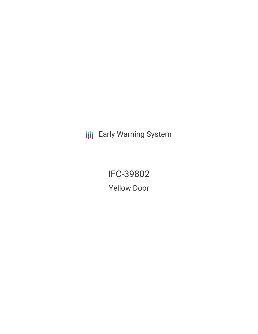**III** Early Warning System

IFC-39802 Yellow Door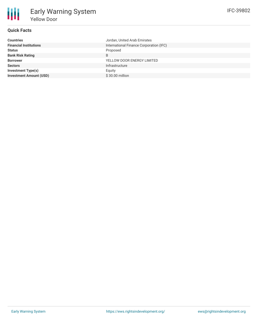## **Quick Facts**

朋

| <b>Countries</b>               | Jordan, United Arab Emirates            |
|--------------------------------|-----------------------------------------|
| <b>Financial Institutions</b>  | International Finance Corporation (IFC) |
| <b>Status</b>                  | Proposed                                |
| <b>Bank Risk Rating</b>        | B                                       |
| <b>Borrower</b>                | YELLOW DOOR ENERGY LIMITED              |
| <b>Sectors</b>                 | Infrastructure                          |
| Investment Type(s)             | Equity                                  |
| <b>Investment Amount (USD)</b> | \$30.00 million                         |
|                                |                                         |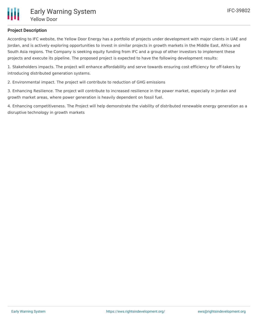# **Project Description**

According to IFC website, the Yellow Door Energy has a portfolio of projects under development with major clients in UAE and Jordan, and is actively exploring opportunities to invest in similar projects in growth markets in the Middle East, Africa and South Asia regions. The Company is seeking equity funding from IFC and a group of other investors to implement these projects and execute its pipeline. The proposed project is expected to have the following development results:

1. Stakeholders impacts. The project will enhance affordability and serve towards ensuring cost efficiency for off-takers by introducing distributed generation systems.

2. Environmental impact. The project will contribute to reduction of GHG emissions

3. Enhancing Resilience. The project will contribute to increased resilience in the power market, especially in Jordan and growth market areas, where power generation is heavily dependent on fossil fuel.

4. Enhancing competitiveness. The Project will help demonstrate the viability of distributed renewable energy generation as a disruptive technology in growth markets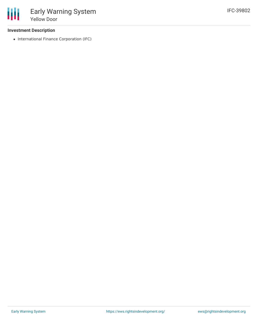#### **Investment Description**

• International Finance Corporation (IFC)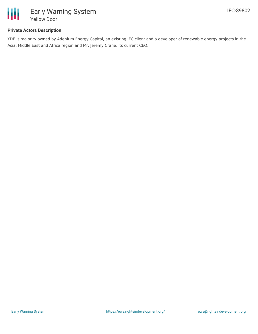

## **Private Actors Description**

YDE is majority owned by Adenium Energy Capital, an existing IFC client and a developer of renewable energy projects in the Asia, Middle East and Africa region and Mr. Jeremy Crane, its current CEO.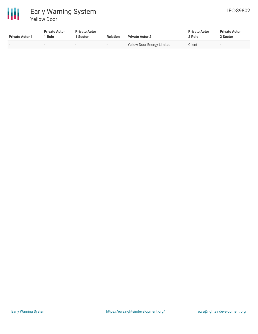

# Early Warning System Yellow Door

| <b>Private Actor 1</b> | <b>Private Actor</b><br>1 Role | <b>Private Actor</b><br>l Sector | <b>Relation</b>          | <b>Private Actor 2</b>            | <b>Private Actor</b><br>2 Role | <b>Private Actor</b><br>2 Sector |  |
|------------------------|--------------------------------|----------------------------------|--------------------------|-----------------------------------|--------------------------------|----------------------------------|--|
|                        | $\overline{\phantom{a}}$       | $\overline{\phantom{a}}$         | $\overline{\phantom{0}}$ | <b>Yellow Door Energy Limited</b> | Client                         | $\overline{\phantom{a}}$         |  |